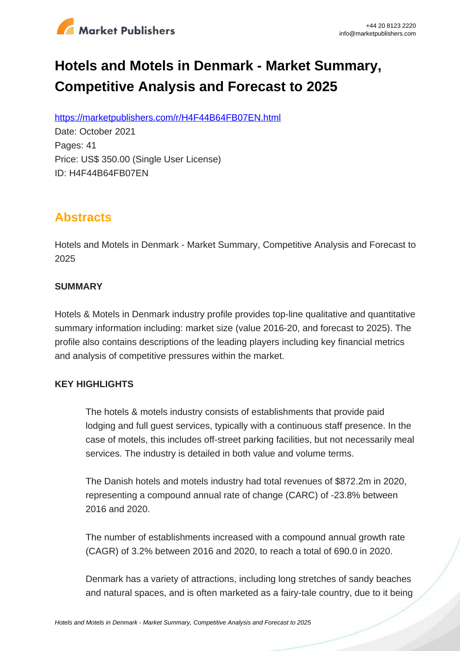

# **Hotels and Motels in Denmark - Market Summary, Competitive Analysis and Forecast to 2025**

https://marketpublishers.com/r/H4F44B64FB07EN.html

Date: October 2021 Pages: 41 Price: US\$ 350.00 (Single User License) ID: H4F44B64FB07EN

# **Abstracts**

Hotels and Motels in Denmark - Market Summary, Competitive Analysis and Forecast to 2025

#### **SUMMARY**

Hotels & Motels in Denmark industry profile provides top-line qualitative and quantitative summary information including: market size (value 2016-20, and forecast to 2025). The profile also contains descriptions of the leading players including key financial metrics and analysis of competitive pressures within the market.

### **KEY HIGHLIGHTS**

The hotels & motels industry consists of establishments that provide paid lodging and full guest services, typically with a continuous staff presence. In the case of motels, this includes off-street parking facilities, but not necessarily meal services. The industry is detailed in both value and volume terms.

The Danish hotels and motels industry had total revenues of \$872.2m in 2020, representing a compound annual rate of change (CARC) of -23.8% between 2016 and 2020.

The number of establishments increased with a compound annual growth rate (CAGR) of 3.2% between 2016 and 2020, to reach a total of 690.0 in 2020.

Denmark has a variety of attractions, including long stretches of sandy beaches and natural spaces, and is often marketed as a fairy-tale country, due to it being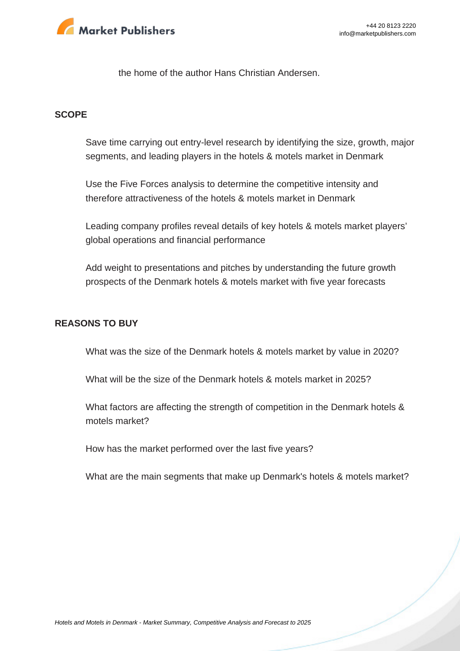

the home of the author Hans Christian Andersen.

#### **SCOPE**

Save time carrying out entry-level research by identifying the size, growth, major segments, and leading players in the hotels & motels market in Denmark

Use the Five Forces analysis to determine the competitive intensity and therefore attractiveness of the hotels & motels market in Denmark

Leading company profiles reveal details of key hotels & motels market players' global operations and financial performance

Add weight to presentations and pitches by understanding the future growth prospects of the Denmark hotels & motels market with five year forecasts

#### **REASONS TO BUY**

What was the size of the Denmark hotels & motels market by value in 2020?

What will be the size of the Denmark hotels & motels market in 2025?

What factors are affecting the strength of competition in the Denmark hotels & motels market?

How has the market performed over the last five years?

What are the main segments that make up Denmark's hotels & motels market?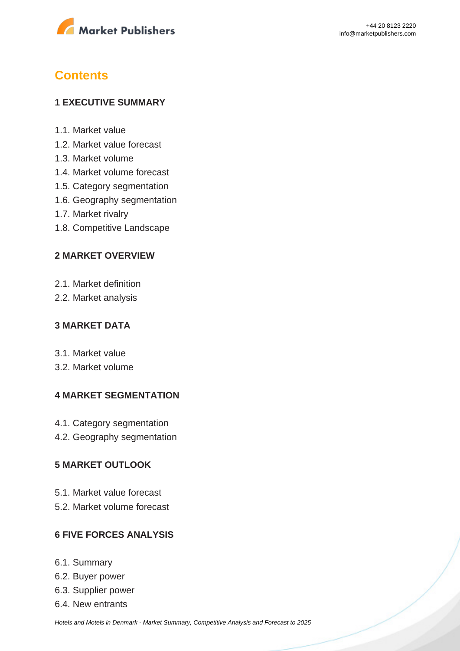

# **Contents**

#### **1 EXECUTIVE SUMMARY**

- 1.1. Market value
- 1.2. Market value forecast
- 1.3. Market volume
- 1.4. Market volume forecast
- 1.5. Category segmentation
- 1.6. Geography segmentation
- 1.7. Market rivalry
- 1.8. Competitive Landscape

#### **2 MARKET OVERVIEW**

- 2.1. Market definition
- 2.2. Market analysis

#### **3 MARKET DATA**

- 3.1. Market value
- 3.2. Market volume

#### **4 MARKET SEGMENTATION**

- 4.1. Category segmentation
- 4.2. Geography segmentation

#### **5 MARKET OUTLOOK**

- 5.1. Market value forecast
- 5.2. Market volume forecast

#### **6 FIVE FORCES ANALYSIS**

- 6.1. Summary
- 6.2. Buyer power
- 6.3. Supplier power
- 6.4. New entrants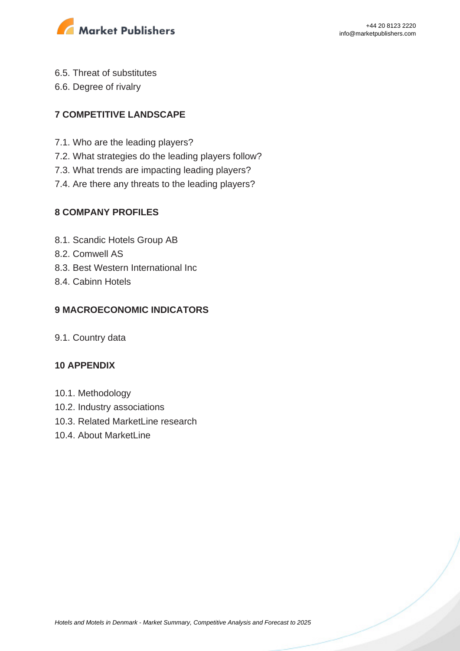

- 6.5. Threat of substitutes
- 6.6. Degree of rivalry

### **7 COMPETITIVE LANDSCAPE**

- 7.1. Who are the leading players?
- 7.2. What strategies do the leading players follow?
- 7.3. What trends are impacting leading players?
- 7.4. Are there any threats to the leading players?

### **8 COMPANY PROFILES**

- 8.1. Scandic Hotels Group AB
- 8.2. Comwell AS
- 8.3. Best Western International Inc
- 8.4. Cabinn Hotels

### **9 MACROECONOMIC INDICATORS**

9.1. Country data

#### **10 APPENDIX**

- 10.1. Methodology
- 10.2. Industry associations
- 10.3. Related MarketLine research
- 10.4. About MarketLine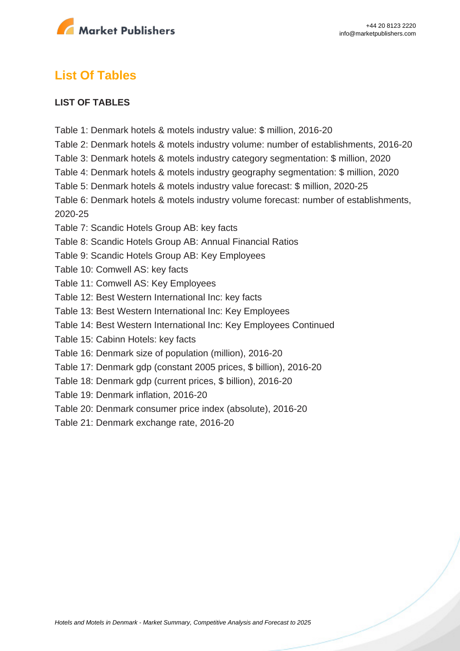

# **List Of Tables**

#### **LIST OF TABLES**

- Table 1: Denmark hotels & motels industry value: \$ million, 2016-20
- Table 2: Denmark hotels & motels industry volume: number of establishments, 2016-20
- Table 3: Denmark hotels & motels industry category segmentation: \$ million, 2020
- Table 4: Denmark hotels & motels industry geography segmentation: \$ million, 2020
- Table 5: Denmark hotels & motels industry value forecast: \$ million, 2020-25
- Table 6: Denmark hotels & motels industry volume forecast: number of establishments, 2020-25
- Table 7: Scandic Hotels Group AB: key facts
- Table 8: Scandic Hotels Group AB: Annual Financial Ratios
- Table 9: Scandic Hotels Group AB: Key Employees
- Table 10: Comwell AS: key facts
- Table 11: Comwell AS: Key Employees
- Table 12: Best Western International Inc: key facts
- Table 13: Best Western International Inc: Key Employees
- Table 14: Best Western International Inc: Key Employees Continued
- Table 15: Cabinn Hotels: key facts
- Table 16: Denmark size of population (million), 2016-20
- Table 17: Denmark gdp (constant 2005 prices, \$ billion), 2016-20
- Table 18: Denmark gdp (current prices, \$ billion), 2016-20
- Table 19: Denmark inflation, 2016-20
- Table 20: Denmark consumer price index (absolute), 2016-20
- Table 21: Denmark exchange rate, 2016-20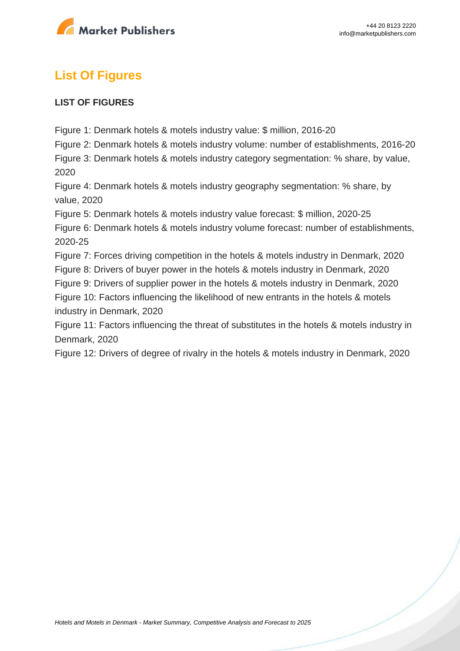

# **List Of Figures**

#### **LIST OF FIGURES**

Figure 1: Denmark hotels & motels industry value: \$ million, 2016-20

Figure 2: Denmark hotels & motels industry volume: number of establishments, 2016-20

Figure 3: Denmark hotels & motels industry category segmentation: % share, by value, 2020

Figure 4: Denmark hotels & motels industry geography segmentation: % share, by value, 2020

Figure 5: Denmark hotels & motels industry value forecast: \$ million, 2020-25

Figure 6: Denmark hotels & motels industry volume forecast: number of establishments, 2020-25

Figure 7: Forces driving competition in the hotels & motels industry in Denmark, 2020

Figure 8: Drivers of buyer power in the hotels & motels industry in Denmark, 2020

Figure 9: Drivers of supplier power in the hotels & motels industry in Denmark, 2020

Figure 10: Factors influencing the likelihood of new entrants in the hotels & motels industry in Denmark, 2020

Figure 11: Factors influencing the threat of substitutes in the hotels & motels industry in Denmark, 2020

Figure 12: Drivers of degree of rivalry in the hotels & motels industry in Denmark, 2020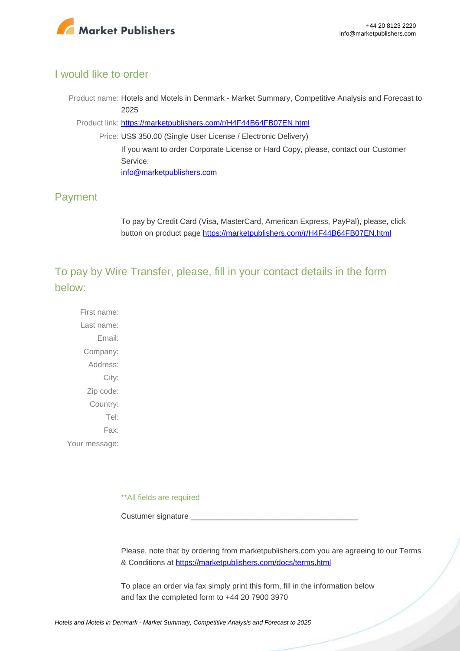

#### I would like to order

Product name: Hotels and Motels in Denmark - Market Summary, Competitive Analysis and Forecast to 2025

Product link: [https://marketpublishers.com/r/H4F44B64FB07EN.html](https://marketpublishers.com/report/services/hotels/hotels-n-motels-in-denmark-market-summary-competitive-analysis-n-forecast-to-2025.html)

Price: US\$ 350.00 (Single User License / Electronic Delivery) If you want to order Corporate License or Hard Copy, please, contact our Customer Service: [info@marketpublishers.com](mailto:info@marketpublishers.com)

## Payment

To pay by Credit Card (Visa, MasterCard, American Express, PayPal), please, click button on product page [https://marketpublishers.com/r/H4F44B64FB07EN.html](https://marketpublishers.com/report/services/hotels/hotels-n-motels-in-denmark-market-summary-competitive-analysis-n-forecast-to-2025.html)

To pay by Wire Transfer, please, fill in your contact details in the form below:

First name: Last name: Email: Company: Address: City: Zip code: Country: Tel: Fax: Your message:

\*\*All fields are required

Custumer signature

Please, note that by ordering from marketpublishers.com you are agreeing to our Terms & Conditions at<https://marketpublishers.com/docs/terms.html>

To place an order via fax simply print this form, fill in the information below and fax the completed form to +44 20 7900 3970